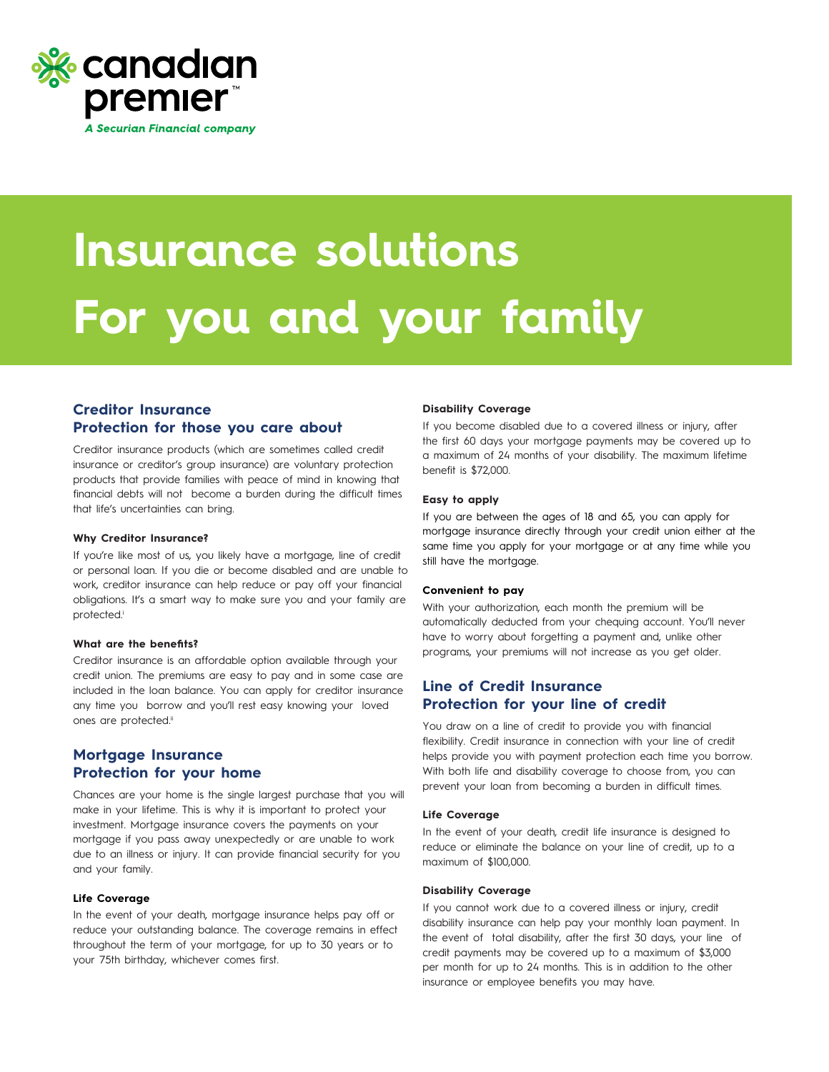

# **Insurance solutions For you and your family**

# **Creditor Insurance Protection for those you care about**

Creditor insurance products (which are sometimes called credit insurance or creditor's group insurance) are voluntary protection products that provide families with peace of mind in knowing that financial debts will not become a burden during the difficult times that life's uncertainties can bring.

# **Why Creditor Insurance?**

If you're like most of us, you likely have a mortgage, line of credit or personal loan. If you die or become disabled and are unable to work, creditor insurance can help reduce or pay off your financial obligations. It's a smart way to make sure you and your family are protected.<sup>i</sup>

## **What are the benefits?**

Creditor insurance is an affordable option available through your credit union. The premiums are easy to pay and in some case are included in the loan balance. You can apply for creditor insurance any time you borrow and you'll rest easy knowing your loved ones are protected.<sup>ii</sup>

# **Mortgage Insurance Protection for your home**

Chances are your home is the single largest purchase that you will make in your lifetime. This is why it is important to protect your investment. Mortgage insurance covers the payments on your mortgage if you pass away unexpectedly or are unable to work due to an illness or injury. It can provide financial security for you and your family.

# **Life Coverage**

In the event of your death, mortgage insurance helps pay off or reduce your outstanding balance. The coverage remains in effect throughout the term of your mortgage, for up to 30 years or to your 75th birthday, whichever comes first.

## **Disability Coverage**

If you become disabled due to a covered illness or injury, after the first 60 days your mortgage payments may be covered up to a maximum of 24 months of your disability. The maximum lifetime benefit is \$72,000.

## **Easy to apply**

If you are between the ages of 18 and 65, you can apply for mortgage insurance directly through your credit union either at the same time you apply for your mortgage or at any time while you still have the mortgage.

## **Convenient to pay**

With your authorization, each month the premium will be automatically deducted from your chequing account. You'll never have to worry about forgetting a payment and, unlike other programs, your premiums will not increase as you get older.

# **Line of Credit Insurance Protection for your line of credit**

You draw on a line of credit to provide you with financial flexibility. Credit insurance in connection with your line of credit helps provide you with payment protection each time you borrow. With both life and disability coverage to choose from, you can prevent your loan from becoming a burden in difficult times.

# **Life Coverage**

In the event of your death, credit life insurance is designed to reduce or eliminate the balance on your line of credit, up to a maximum of \$100,000.

# **Disability Coverage**

If you cannot work due to a covered illness or injury, credit disability insurance can help pay your monthly loan payment. In the event of total disability, after the first 30 days, your line of credit payments may be covered up to a maximum of \$3,000 per month for up to 24 months. This is in addition to the other insurance or employee benefits you may have.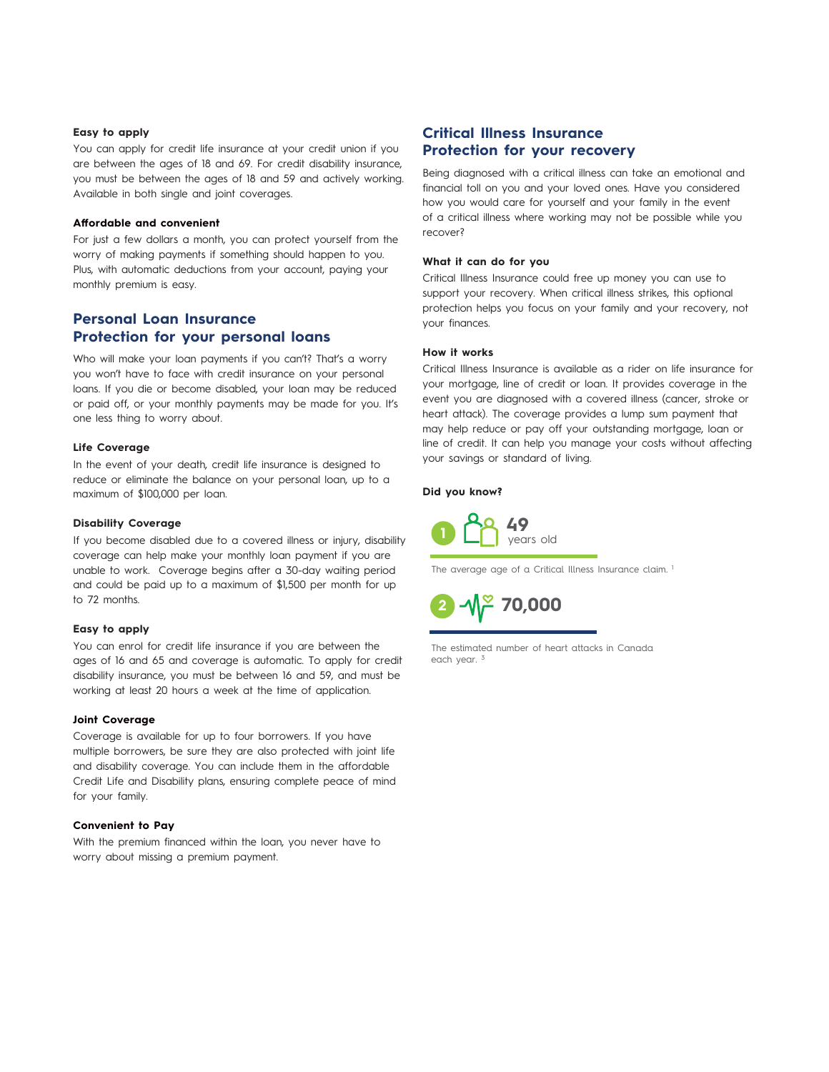# **Easy to apply**

You can apply for credit life insurance at your credit union if you are between the ages of 18 and 69. For credit disability insurance, you must be between the ages of 18 and 59 and actively working. Available in both single and joint coverages.

## **Affordable and convenient**

For just a few dollars a month, you can protect yourself from the worry of making payments if something should happen to you. Plus, with automatic deductions from your account, paying your monthly premium is easy.

### **Personal Loan Insurance** Protection for your personal loans rorection for your personal loans

Who will make your loan payments if you can't? That's a worry you won't have to face with credit insurance on your personal **Critical Illness Insurance** loans. If you die or become disabled, your loan may be reduced or paid off, or your monthly payments may be made for you. It's one less thing to worry about.  $\mathcal{B}$  diagnosed with a critical indicated with a critical indicated with a critical indicated with a critical indicated with  $\mathcal{B}$  $\mathcal{A}$  to later than  $\mathcal{A}$  to lower loved ones. Have  $\mathcal{A}$ ans. **H** you are or become alsabled, your loan may be in an emotion ones.

# Life Coverage **State State Server State State**

ent coverlage<br>In the event of your death, credit life insurance is designed to reduce or eliminate the balance on your personal loan, up to a maximum of \$100,000 per loan. the event of your death, credit life insurance is designe **aximum of \$100,000 per lo** 

#### Disability Coverage **Research Control** sum,  $\frac{1}{2}$  is the critical independent control in the critical independent control in the critical independent control in the critical independent control in the critical independent control in the critical independen

**Lisability coverage**<br>If you become disabled due to a covered illness or injury, disability coverage can help make your monthly loan payment if you are unable to work. Coverage begins after a 30-day waiting period and could be paid up to a maximum of \$1,500 per month for up to 72 months. you become disabled due to a covered illness or injury, di your saying or standard or standard or standard or standard overage can help make your monthly loan payment if you you become disabled at **However it works** 

#### Easy to apply Critical Illness Insurance provides coverage in the event you

**Lasy to apply**<br>You can enrol for credit life insurance if you are between the ages of 16 and 65 and coverage is automatic. To apply for credit disability insurance, you must be between 16 and 59, and must be working at least 20 hours a week at the time of application. king at least 20 hours a week at the time of applica or line of credit life insurance if you are between to can enrol for credit life insurance if you are between t

# **Joint Coverage**

Coverage is available for up to four borrowers. If you have multiple borrowers, be sure they are also protected with joint life and disability coverage. You can include them in the affordable Credit Life and Disability plans, ensuring complete peace of mind for your family.

## **Convenient to Pay**

With the premium financed within the loan, you never have to worry about missing a premium payment.

# **Critical Illness Insurance Protection for your recovery**

Being diagnosed with a critical illness can take an emotional and financial toll on you and your loved ones. Have you considered how you would care for yourself and your family in the event of a critical illness where working may not be possible while you recover?

## **What it can do for you**

Critical Illness Insurance could free up money you can use to support your recovery. When critical illness strikes, this optional support your recovery. When critical illness strikes, this optional<br>protection helps you focus on your family and your recovery, not your finances.

#### **How it works**

Critical Illness Insurance is available as a rider on life insurance for your mortgage, line of credit or loan. It provides coverage in the event you are diagnosed with a covered illness (cancer, stroke or heart attack). The coverage provides a lump sum payment that heart attack). The coverage provides a lump sum payment that may help reduce or pay off your outstanding mortgage, loan or Did you know? **Did you know?** line of credit. It can help you manage your costs without affecting your savings or standard of living.

## **Did you know?**



The average age of a Critical Illness Insurance claim.<sup>1</sup>



 $T_{\text{max}}$  of strokes that occur is  $T_{\text{max}}$ The estimated number of heart attacks in Canada  $\frac{1}{2}$  each year.  $\frac{3}{2}$